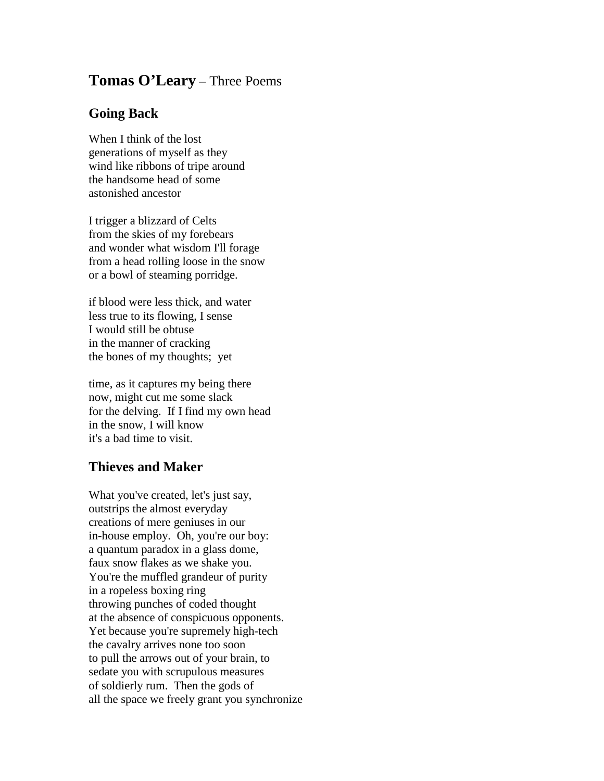## **Tomas O'Leary** – Three Poems

## **Going Back**

When I think of the lost generations of myself as they wind like ribbons of tripe around the handsome head of some astonished ancestor

I trigger a blizzard of Celts from the skies of my forebears and wonder what wisdom I'll forage from a head rolling loose in the snow or a bowl of steaming porridge.

if blood were less thick, and water less true to its flowing, I sense I would still be obtuse in the manner of cracking the bones of my thoughts; yet

time, as it captures my being there now, might cut me some slack for the delving. If I find my own head in the snow, I will know it's a bad time to visit.

## **Thieves and Maker**

What you've created, let's just say, outstrips the almost everyday creations of mere geniuses in our in-house employ. Oh, you're our boy: a quantum paradox in a glass dome, faux snow flakes as we shake you. You're the muffled grandeur of purity in a ropeless boxing ring throwing punches of coded thought at the absence of conspicuous opponents. Yet because you're supremely high-tech the cavalry arrives none too soon to pull the arrows out of your brain, to sedate you with scrupulous measures of soldierly rum. Then the gods of all the space we freely grant you synchronize